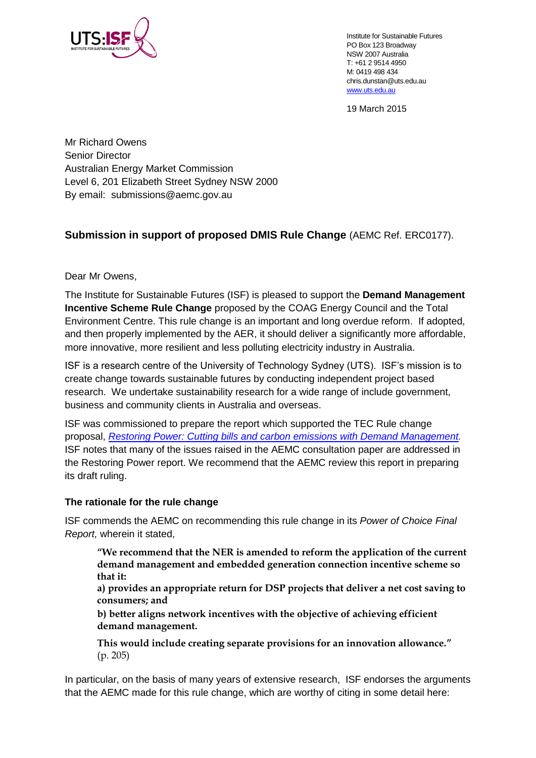

Institute for Sustainable Futures PO Box 123 Broadway NSW 2007 Australia T: +61 2 9514 4950 M: 0419 498 434 chris.dunstan@uts.edu.au [www.uts.edu.au](http://www.uts.edu.au/)

19 March 2015

Mr Richard Owens Senior Director Australian Energy Market Commission Level 6, 201 Elizabeth Street Sydney NSW 2000 By email: [submissions@aemc.gov.au](mailto:submissions@aemc.gov.au) 

# **Submission in support of proposed DMIS Rule Change** (AEMC Ref. ERC0177).

Dear Mr Owens,

The Institute for Sustainable Futures (ISF) is pleased to support the **Demand Management Incentive Scheme Rule Change** proposed by the COAG Energy Council and the Total Environment Centre. This rule change is an important and long overdue reform. If adopted, and then properly implemented by the AER, it should deliver a significantly more affordable, more innovative, more resilient and less polluting electricity industry in Australia.

ISF is a research centre of the University of Technology Sydney (UTS). ISF's mission is to create change towards sustainable futures by conducting independent project based research. We undertake sustainability research for a wide range of include government, business and community clients in Australia and overseas.

ISF was commissioned to prepare the report which supported the TEC Rule change proposal, *[Restoring Power: Cutting bills and carbon emissions with Demand Management.](http://aemc.gov.au/getattachment/d028d147-6731-467c-8194-2f5075c13b53/TEC-commissioned-supplementary-report-%E2%80%93-Restoring.aspx)*  ISF notes that many of the issues raised in the AEMC consultation paper are addressed in the Restoring Power report. We recommend that the AEMC review this report in preparing its draft ruling.

### **The rationale for the rule change**

ISF commends the AEMC on recommending this rule change in its *Power of Choice Final Report,* wherein it stated,

**"We recommend that the NER is amended to reform the application of the current demand management and embedded generation connection incentive scheme so that it:** 

**a) provides an appropriate return for DSP projects that deliver a net cost saving to consumers; and** 

**b) better aligns network incentives with the objective of achieving efficient demand management.** 

**This would include creating separate provisions for an innovation allowance."**  (p. 205)

In particular, on the basis of many years of extensive research, ISF endorses the arguments that the AEMC made for this rule change, which are worthy of citing in some detail here: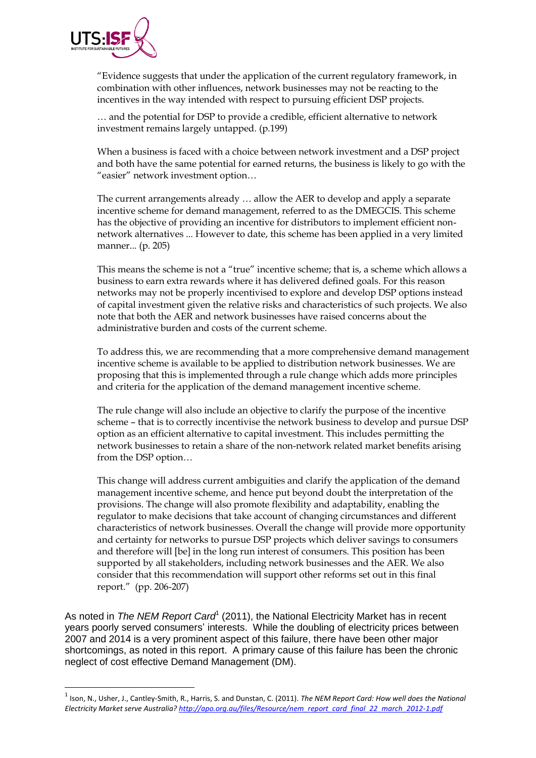

**.** 

"Evidence suggests that under the application of the current regulatory framework, in combination with other influences, network businesses may not be reacting to the incentives in the way intended with respect to pursuing efficient DSP projects.

… and the potential for DSP to provide a credible, efficient alternative to network investment remains largely untapped. (p.199)

When a business is faced with a choice between network investment and a DSP project and both have the same potential for earned returns, the business is likely to go with the "easier" network investment option…

The current arrangements already … allow the AER to develop and apply a separate incentive scheme for demand management, referred to as the DMEGCIS. This scheme has the objective of providing an incentive for distributors to implement efficient nonnetwork alternatives ... However to date, this scheme has been applied in a very limited manner... (p. 205)

This means the scheme is not a "true" incentive scheme; that is, a scheme which allows a business to earn extra rewards where it has delivered defined goals. For this reason networks may not be properly incentivised to explore and develop DSP options instead of capital investment given the relative risks and characteristics of such projects. We also note that both the AER and network businesses have raised concerns about the administrative burden and costs of the current scheme.

To address this, we are recommending that a more comprehensive demand management incentive scheme is available to be applied to distribution network businesses. We are proposing that this is implemented through a rule change which adds more principles and criteria for the application of the demand management incentive scheme.

The rule change will also include an objective to clarify the purpose of the incentive scheme – that is to correctly incentivise the network business to develop and pursue DSP option as an efficient alternative to capital investment. This includes permitting the network businesses to retain a share of the non-network related market benefits arising from the DSP option…

This change will address current ambiguities and clarify the application of the demand management incentive scheme, and hence put beyond doubt the interpretation of the provisions. The change will also promote flexibility and adaptability, enabling the regulator to make decisions that take account of changing circumstances and different characteristics of network businesses. Overall the change will provide more opportunity and certainty for networks to pursue DSP projects which deliver savings to consumers and therefore will [be] in the long run interest of consumers. This position has been supported by all stakeholders, including network businesses and the AER. We also consider that this recommendation will support other reforms set out in this final report." (pp. 206-207)

As noted in The NEM Report Card<sup>1</sup> (2011), the National Electricity Market has in recent years poorly served consumers' interests. While the doubling of electricity prices between 2007 and 2014 is a very prominent aspect of this failure, there have been other major shortcomings, as noted in this report. A primary cause of this failure has been the chronic neglect of cost effective Demand Management (DM).

<sup>1</sup> Ison, N., Usher, J., Cantley-Smith, R., Harris, S. and Dunstan, C. (2011). *The NEM Report Card: How well does the National Electricity Market serve Australia? [http://apo.org.au/files/Resource/nem\\_report\\_card\\_final\\_22\\_march\\_2012-1.pdf](http://apo.org.au/files/Resource/nem_report_card_final_22_march_2012-1.pdf)*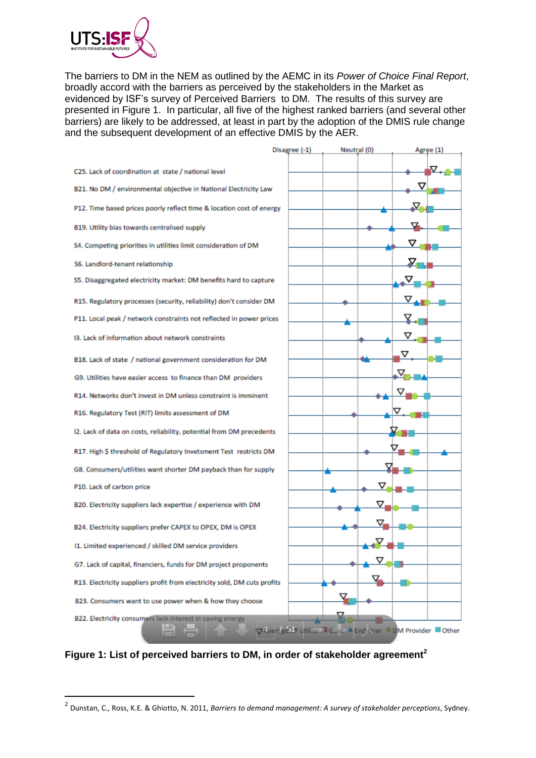

**.** 

The barriers to DM in the NEM as outlined by the AEMC in its *Power of Choice Final Report*, broadly accord with the barriers as perceived by the stakeholders in the Market as evidenced by ISF's survey of Perceived Barriers to DM. The results of this survey are presented in Figure 1. In particular, all five of the highest ranked barriers (and several other barriers) are likely to be addressed, at least in part by the adoption of the DMIS rule change and the subsequent development of an effective DMIS by the AER.



**Figure 1: List of perceived barriers to DM, in order of stakeholder agreement<sup>2</sup>**

<sup>2</sup> Dunstan, C., Ross, K.E. & Ghiotto, N. 2011, *Barriers to demand management: A survey of stakeholder perceptions*, Sydney.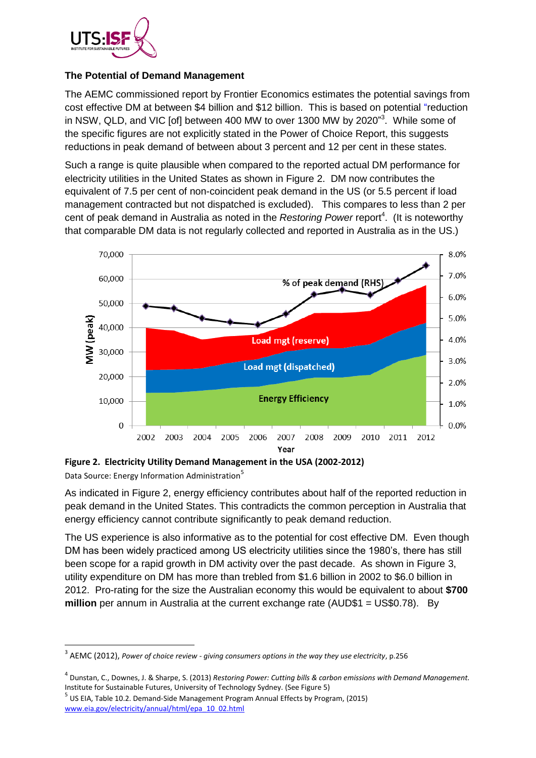

## **The Potential of Demand Management**

The AEMC commissioned report by Frontier Economics estimates the potential savings from cost effective DM at between \$4 billion and \$12 billion. This is based on potential "reduction in NSW, QLD, and VIC [of] between 400 MW to over 1300 MW by 2020 $^{33}$ . While some of the specific figures are not explicitly stated in the Power of Choice Report, this suggests reductions in peak demand of between about 3 percent and 12 per cent in these states.

Such a range is quite plausible when compared to the reported actual DM performance for electricity utilities in the United States as shown in Figure 2. DM now contributes the equivalent of 7.5 per cent of non-coincident peak demand in the US (or 5.5 percent if load management contracted but not dispatched is excluded). This compares to less than 2 per cent of peak demand in Australia as noted in the *Restoring Power* report<sup>4</sup>. (It is noteworthy that comparable DM data is not regularly collected and reported in Australia as in the US.)



**Figure 2. Electricity Utility Demand Management in the USA (2002-2012)** 

Data Source: Energy Information Administration<sup>5</sup>

**.** 

As indicated in Figure 2, energy efficiency contributes about half of the reported reduction in peak demand in the United States. This contradicts the common perception in Australia that energy efficiency cannot contribute significantly to peak demand reduction.

The US experience is also informative as to the potential for cost effective DM. Even though DM has been widely practiced among US electricity utilities since the 1980's, there has still been scope for a rapid growth in DM activity over the past decade. As shown in Figure 3, utility expenditure on DM has more than trebled from \$1.6 billion in 2002 to \$6.0 billion in 2012. Pro-rating for the size the Australian economy this would be equivalent to about **\$700 million** per annum in Australia at the current exchange rate (AUD\$1 = US\$0.78). By

<sup>3</sup> AEMC (2012), *Power of choice review - giving consumers options in the way they use electricity*, p.256

<sup>4</sup> Dunstan, C., Downes, J. & Sharpe, S. (2013) *Restoring Power: Cutting bills & carbon emissions with Demand Management.*  Institute for Sustainable Futures, University of Technology Sydney. (See Figure 5)

<sup>5</sup> US EIA, Table 10.2. Demand-Side Management Program Annual Effects by Program, (2015) [www.eia.gov/electricity/annual/html/epa\\_10\\_02.html](http://www.eia.gov/electricity/annual/html/epa_10_02.html)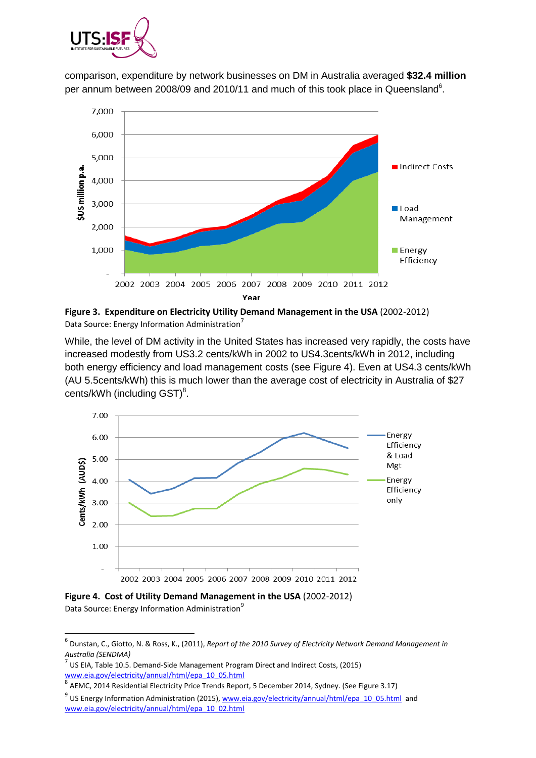

comparison, expenditure by network businesses on DM in Australia averaged **\$32.4 million** per annum between 2008/09 and 2010/11 and much of this took place in Queensland<sup>6</sup>.



**Figure 3. Expenditure on Electricity Utility Demand Management in the USA** (2002-2012) Data Source: Energy Information Administration<sup>7</sup>

While, the level of DM activity in the United States has increased very rapidly, the costs have increased modestly from US3.2 cents/kWh in 2002 to US4.3cents/kWh in 2012, including both energy efficiency and load management costs (see Figure 4). Even at US4.3 cents/kWh (AU 5.5cents/kWh) this is much lower than the average cost of electricity in Australia of \$27 cents/kWh (including  $GST$ )<sup>8</sup>.



**Figure 4. Cost of Utility Demand Management in the USA** (2002-2012) Data Source: Energy Information Administration<sup>9</sup>

 $\overline{a}$ 

7 US EIA, Table 10.5. Demand-Side Management Program Direct and Indirect Costs, (2015) [www.eia.gov/electricity/annual/html/epa\\_10\\_05.html](http://www.eia.gov/electricity/annual/html/epa_10_05.html)<br>8. AEMG 2014 Besidential Flastricity Price Transla Banc

<sup>6</sup> Dunstan, C., Giotto, N. & Ross, K., (2011), *Report of the 2010 Survey of Electricity Network Demand Management in Australia (SENDMA)*

AEMC, 2014 Residential Electricity Price Trends Report, 5 December 2014, Sydney. (See Figure 3.17)

<sup>&</sup>lt;sup>9</sup> US Energy Information Administration (2015), [www.eia.gov/electricity/annual/html/epa\\_10\\_05.html](http://www.eia.gov/electricity/annual/html/epa_10_05.html) and [www.eia.gov/electricity/annual/html/epa\\_10\\_02.html](http://www.eia.gov/electricity/annual/html/epa_10_02.html)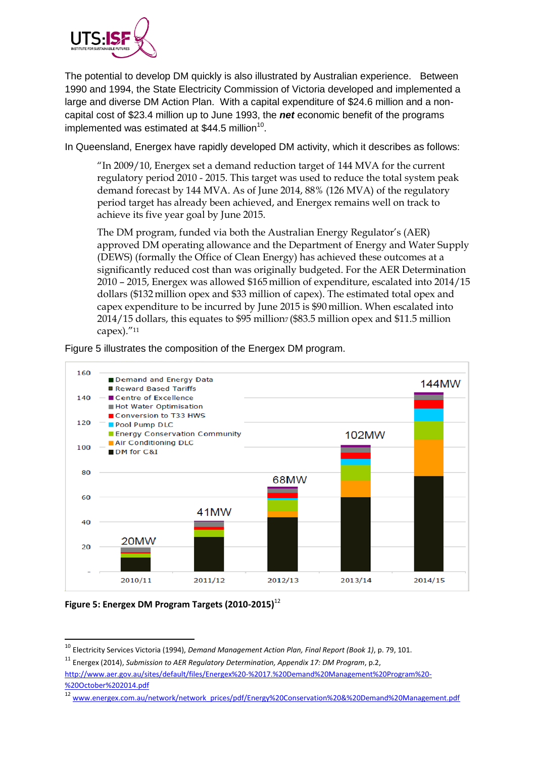

The potential to develop DM quickly is also illustrated by Australian experience. Between 1990 and 1994, the State Electricity Commission of Victoria developed and implemented a large and diverse DM Action Plan. With a capital expenditure of \$24.6 million and a noncapital cost of \$23.4 million up to June 1993, the *net* economic benefit of the programs implemented was estimated at \$44.5 million<sup>10</sup>.

In Queensland, Energex have rapidly developed DM activity, which it describes as follows:

"In 2009/10, Energex set a demand reduction target of 144 MVA for the current regulatory period 2010 - 2015. This target was used to reduce the total system peak demand forecast by 144 MVA. As of June 2014, 88% (126 MVA) of the regulatory period target has already been achieved, and Energex remains well on track to achieve its five year goal by June 2015.

The DM program, funded via both the Australian Energy Regulator's (AER) approved DM operating allowance and the Department of Energy and Water Supply (DEWS) (formally the Office of Clean Energy) has achieved these outcomes at a significantly reduced cost than was originally budgeted. For the AER Determination 2010 – 2015, Energex was allowed \$165 million of expenditure, escalated into 2014/15 dollars (\$132 million opex and \$33 million of capex). The estimated total opex and capex expenditure to be incurred by June 2015 is \$90 million. When escalated into 2014/15 dollars, this equates to \$95 million (\$83.5 million opex and \$11.5 million capex)."<sup>11</sup>



Figure 5 illustrates the composition of the Energex DM program.

**Figure 5: Energex DM Program Targets (2010-2015)**<sup>12</sup>

**.** 

<sup>10</sup> Electricity Services Victoria (1994), *Demand Management Action Plan, Final Report (Book 1)*, p. 79, 101.

<sup>11</sup> Energex (2014), *Submission to AER Regulatory Determination, Appendix 17: DM Program*, p.2,

[http://www.aer.gov.au/sites/default/files/Energex%20-%2017.%20Demand%20Management%20Program%20-](http://www.aer.gov.au/sites/default/files/Energex%20-%2017.%20Demand%20Management%20Program%20-%20October%202014.pdf) [%20October%202014.pdf](http://www.aer.gov.au/sites/default/files/Energex%20-%2017.%20Demand%20Management%20Program%20-%20October%202014.pdf)

<sup>12</sup> [www.energex.com.au/network/network\\_prices/pdf/Energy%20Conservation%20&%20Demand%20Management.pdf](http://www.energex.com.au/network/network_prices/pdf/Energy%20Conservation%20&%20Demand%20Management.pdf)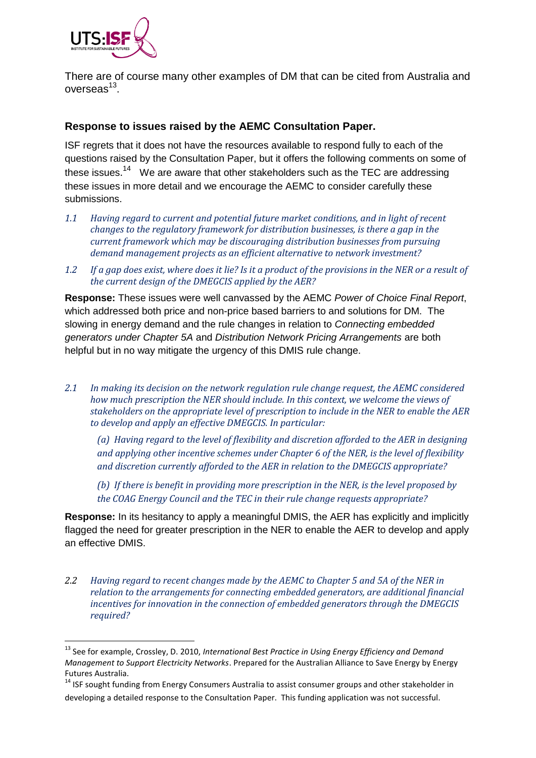

**.** 

There are of course many other examples of DM that can be cited from Australia and overseas<sup>13</sup>.

## **Response to issues raised by the AEMC Consultation Paper.**

ISF regrets that it does not have the resources available to respond fully to each of the questions raised by the Consultation Paper, but it offers the following comments on some of these issues.<sup>14</sup> We are aware that other stakeholders such as the TEC are addressing these issues in more detail and we encourage the AEMC to consider carefully these submissions.

- *1.1 Having regard to current and potential future market conditions, and in light of recent changes to the regulatory framework for distribution businesses, is there a gap in the current framework which may be discouraging distribution businesses from pursuing demand management projects as an efficient alternative to network investment?*
- *1.2 If a gap does exist, where does it lie? Is it a product of the provisions in the NER or a result of the current design of the DMEGCIS applied by the AER?*

**Response:** These issues were well canvassed by the AEMC *Power of Choice Final Report*, which addressed both price and non-price based barriers to and solutions for DM. The slowing in energy demand and the rule changes in relation to *Connecting embedded generators under Chapter 5A* and *Distribution Network Pricing Arrangements* are both helpful but in no way mitigate the urgency of this DMIS rule change.

*2.1 In making its decision on the network regulation rule change request, the AEMC considered how much prescription the NER should include. In this context, we welcome the views of stakeholders on the appropriate level of prescription to include in the NER to enable the AER to develop and apply an effective DMEGCIS. In particular:* 

*(a) Having regard to the level of flexibility and discretion afforded to the AER in designing and applying other incentive schemes under Chapter 6 of the NER, is the level of flexibility and discretion currently afforded to the AER in relation to the DMEGCIS appropriate?* 

*(b) If there is benefit in providing more prescription in the NER, is the level proposed by the COAG Energy Council and the TEC in their rule change requests appropriate?* 

**Response:** In its hesitancy to apply a meaningful DMIS, the AER has explicitly and implicitly flagged the need for greater prescription in the NER to enable the AER to develop and apply an effective DMIS.

*2.2 Having regard to recent changes made by the AEMC to Chapter 5 and 5A of the NER in relation to the arrangements for connecting embedded generators, are additional financial incentives for innovation in the connection of embedded generators through the DMEGCIS required?*

<sup>13</sup> See for example, Crossley, D. 2010, *International Best Practice in Using Energy Efficiency and Demand Management to Support Electricity Networks*. Prepared for the Australian Alliance to Save Energy by Energy Futures Australia.

 $14$  ISF sought funding from Energy Consumers Australia to assist consumer groups and other stakeholder in developing a detailed response to the Consultation Paper. This funding application was not successful.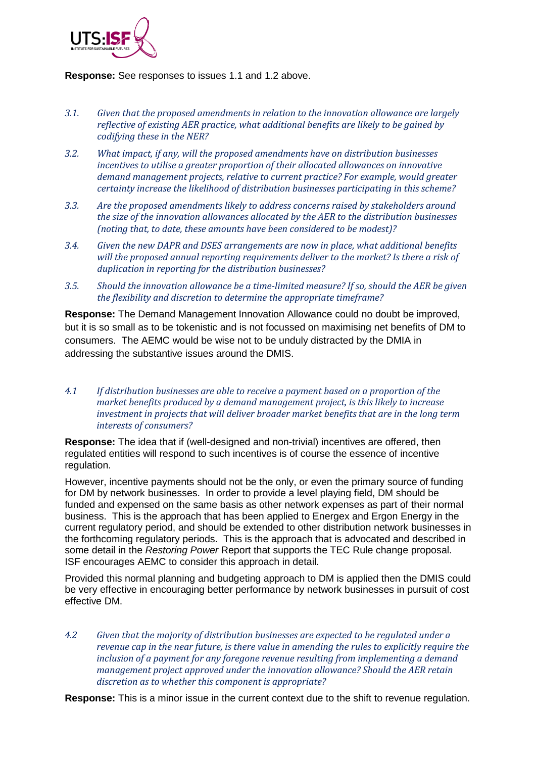

#### **Response:** See responses to issues 1.1 and 1.2 above.

- *3.1. Given that the proposed amendments in relation to the innovation allowance are largely reflective of existing AER practice, what additional benefits are likely to be gained by codifying these in the NER?*
- *3.2. What impact, if any, will the proposed amendments have on distribution businesses incentives to utilise a greater proportion of their allocated allowances on innovative demand management projects, relative to current practice? For example, would greater certainty increase the likelihood of distribution businesses participating in this scheme?*
- *3.3. Are the proposed amendments likely to address concerns raised by stakeholders around the size of the innovation allowances allocated by the AER to the distribution businesses (noting that, to date, these amounts have been considered to be modest)?*
- *3.4. Given the new DAPR and DSES arrangements are now in place, what additional benefits will the proposed annual reporting requirements deliver to the market? Is there a risk of duplication in reporting for the distribution businesses?*
- *3.5. Should the innovation allowance be a time-limited measure? If so, should the AER be given the flexibility and discretion to determine the appropriate timeframe?*

**Response:** The Demand Management Innovation Allowance could no doubt be improved, but it is so small as to be tokenistic and is not focussed on maximising net benefits of DM to consumers. The AEMC would be wise not to be unduly distracted by the DMIA in addressing the substantive issues around the DMIS.

*4.1 If distribution businesses are able to receive a payment based on a proportion of the market benefits produced by a demand management project, is this likely to increase investment in projects that will deliver broader market benefits that are in the long term interests of consumers?*

**Response:** The idea that if (well-designed and non-trivial) incentives are offered, then regulated entities will respond to such incentives is of course the essence of incentive regulation.

However, incentive payments should not be the only, or even the primary source of funding for DM by network businesses. In order to provide a level playing field, DM should be funded and expensed on the same basis as other network expenses as part of their normal business. This is the approach that has been applied to Energex and Ergon Energy in the current regulatory period, and should be extended to other distribution network businesses in the forthcoming regulatory periods. This is the approach that is advocated and described in some detail in the *Restoring Power* Report that supports the TEC Rule change proposal. ISF encourages AEMC to consider this approach in detail.

Provided this normal planning and budgeting approach to DM is applied then the DMIS could be very effective in encouraging better performance by network businesses in pursuit of cost effective DM.

*4.2 Given that the majority of distribution businesses are expected to be regulated under a revenue cap in the near future, is there value in amending the rules to explicitly require the inclusion of a payment for any foregone revenue resulting from implementing a demand management project approved under the innovation allowance? Should the AER retain discretion as to whether this component is appropriate?*

**Response:** This is a minor issue in the current context due to the shift to revenue regulation.